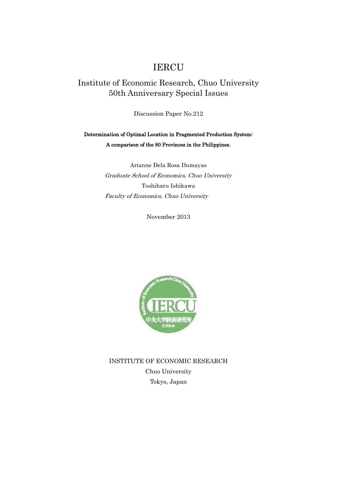# IERCU

# Institute of Economic Research, Chuo University 50th Anniversary Special Issues

Discussion Paper No.212

Determination of Optimal Location in Fragmented Production System: A comparison of the 80 Provinces in the Philippines.

> Arianne Dela Rosa Dumayas Graduate School of Economics, Chuo University Toshiharu Ishikawa Faculty of Economics, Chuo University

> > November 2013



INSTITUTE OF ECONOMIC RESEARCH Chuo University Tokyo, Japan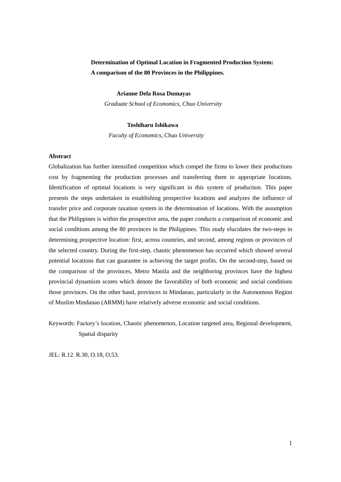# **Determination of Optimal Location in Fragmented Production System: A comparison of the 80 Provinces in the Philippines.**

#### **Arianne Dela Rosa Dumayas**

*Graduate School of Economics, Chuo University*

#### **Toshiharu Ishikawa**

*Faculty of Economics, Chuo University*

## **Abstract**

Globalization has further intensified competition which compel the firms to lower their productions cost by fragmenting the production processes and transferring them to appropriate locations. Identification of optimal locations is very significant in this system of production. This paper presents the steps undertaken in establishing prospective locations and analyzes the influence of transfer price and corporate taxation system in the determination of locations. With the assumption that the Philippines is within the prospective area, the paper conducts a comparison of economic and social conditions among the 80 provinces in the Philippines. This study elucidates the two-steps in determining prospective location: first, across countries, and second, among regions or provinces of the selected country. During the first-step, chaotic phenomenon has occurred which showed several potential locations that can guarantee in achieving the target profits. On the second-step, based on the comparison of the provinces, Metro Manila and the neighboring provinces have the highest provincial dynamism scores which denote the favorability of both economic and social conditions those provinces. On the other hand, provinces in Mindanao, particularly in the Autonomous Region of Muslim Mindanao (ARMM) have relatively adverse economic and social conditions.

Keywords: Factory's location, Chaotic phenomenon, Location targeted area, Regional development, Spatial disparity

JEL: R.12. R.30, O.18, O.53.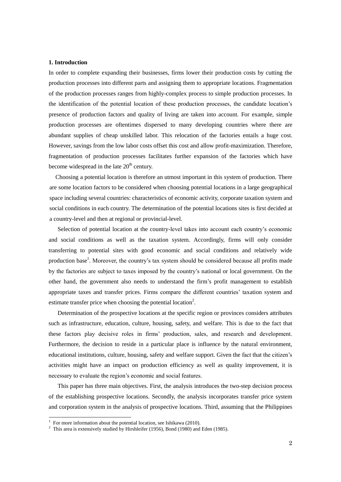#### **1. Introduction**

In order to complete expanding their businesses, firms lower their production costs by cutting the production processes into different parts and assigning them to appropriate locations. Fragmentation of the production processes ranges from highly-complex process to simple production processes. In the identification of the potential location of these production processes, the candidate location's presence of production factors and quality of living are taken into account. For example, simple production processes are oftentimes dispersed to many developing countries where there are abundant supplies of cheap unskilled labor. This relocation of the factories entails a huge cost. However, savings from the low labor costs offset this cost and allow profit-maximization. Therefore, fragmentation of production processes facilitates further expansion of the factories which have become widespread in the late  $20<sup>th</sup>$  century.

Choosing a potential location is therefore an utmost important in this system of production. There are some location factors to be considered when choosing potential locations in a large geographical space including several countries: characteristics of economic activity, corporate taxation system and social conditions in each country. The determination of the potential locations sites is first decided at a country-level and then at regional or provincial-level.

Selection of potential location at the country-level takes into account each country's economic and social conditions as well as the taxation system. Accordingly, firms will only consider transferring to potential sites with good economic and social conditions and relatively wide production base<sup>1</sup>. Moreover, the country's tax system should be considered because all profits made by the factories are subject to taxes imposed by the country's national or local government. On the other hand, the government also needs to understand the firm's profit management to establish appropriate taxes and transfer prices. Firms compare the different countries' taxation system and estimate transfer price when choosing the potential location<sup>2</sup>.

Determination of the prospective locations at the specific region or provinces considers attributes such as infrastructure, education, culture, housing, safety, and welfare. This is due to the fact that these factors play decisive roles in firms' production, sales, and research and development. Furthermore, the decision to reside in a particular place is influence by the natural environment, educational institutions, culture, housing, safety and welfare support. Given the fact that the citizen's activities might have an impact on production efficiency as well as quality improvement, it is necessary to evaluate the region's economic and social features.

This paper has three main objectives. First, the analysis introduces the two-step decision process of the establishing prospective locations. Secondly, the analysis incorporates transfer price system and corporation system in the analysis of prospective locations. Third, assuming that the Philippines

 $\overline{a}$ 

<sup>1</sup> For more information about the potential location, see Ishikawa (2010).

<sup>&</sup>lt;sup>2</sup> This area is extensively studied by Hirshleifer (1956), Bond (1980) and Eden (1985).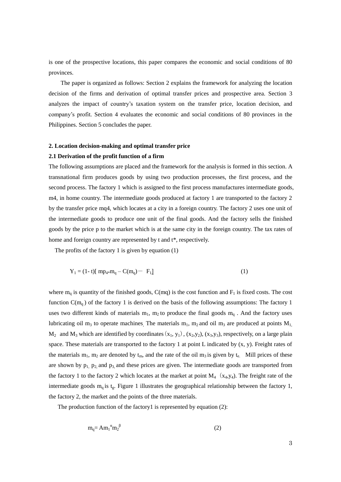is one of the prospective locations, this paper compares the economic and social conditions of 80 provinces.

The paper is organized as follows: Section 2 explains the framework for analyzing the location decision of the firms and derivation of optimal transfer prices and prospective area. Section 3 analyzes the impact of country's taxation system on the transfer price, location decision, and company's profit. Section 4 evaluates the economic and social conditions of 80 provinces in the Philippines. Section 5 concludes the paper.

#### **2. Location decision-making and optimal transfer price**

#### **2.1 Derivation of the profit function of a firm**

The following assumptions are placed and the framework for the analysis is formed in this section. A transnational firm produces goods by using two production processes, the first process, and the second process. The factory 1 which is assigned to the first process manufactures intermediate goods, m4, in home country. The intermediate goods produced at factory 1 are transported to the factory 2 by the transfer price mq4, which locates at a city in a foreign country. The factory 2 uses one unit of the intermediate goods to produce one unit of the final goods. And the factory sells the finished goods by the price p to the market which is at the same city in the foreign country. The tax rates of home and foreign country are represented by t and  $t^*$ , respectively.

The profits of the factory 1 is given by equation  $(1)$ 

$$
Y_1 = (1 - t)[mp_{4} * m_q - C(m_q) - F_1]
$$
 (1)

where  $m_q$  is quantity of the finished goods,  $C(mq)$  is the cost function and  $F_1$  is fixed costs. The cost function  $C(m_q)$  of the factory 1 is derived on the basis of the following assumptions: The factory 1 uses two different kinds of materials  $m_1$ ,  $m_2$  to produce the final goods  $m_q$ . And the factory uses lubricating oil m<sub>3</sub> to operate machines. The materials m<sub>1</sub>, m<sub>2</sub> and oil m<sub>3</sub> are produced at points M<sub>1</sub>.  $M_2$  and  $M_3$  which are identified by coordinates  $(x_1, y_1)$ ,  $(x_2, y_2)$ ,  $(x_3, y_3)$ , respectively, on a large plain space. These materials are transported to the factory 1 at point L indicated by (x, y). Freight rates of the materials  $m_1$ ,  $m_2$  are denoted by  $t_m$ , and the rate of the oil  $m_3$  is given by  $t_e$ . Mill prices of these are shown by  $p_1$ ,  $p_2$ , and  $p_3$ , and these prices are given. The intermediate goods are transported from the factory 1 to the factory 2 which locates at the market at point  $M_4$  (x<sub>4</sub>,y<sub>4</sub>). The freight rate of the intermediate goods  $m_q$  is  $t_g$ . Figure 1 illustrates the geographical relationship between the factory 1, the factory 2, the market and the points of the three materials.

The production function of the factory1 is represented by equation (2):

$$
m_q = A m_1^{\alpha} m_2^{\beta} \tag{2}
$$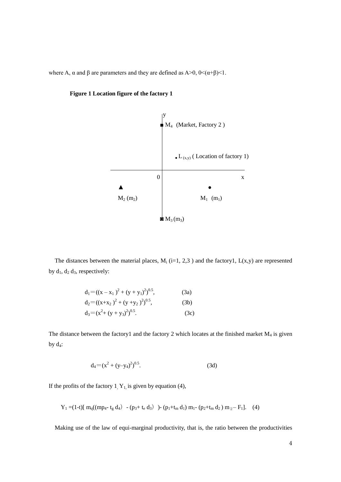where A,  $\alpha$  and  $\beta$  are parameters and they are defined as A>0, 0<( $\alpha$ + $\beta$ )<1.



## **Figure 1 Location figure of the factory 1**

The distances between the material places,  $M_i$  (i=1, 2,3) and the factory1,  $L(x,y)$  are represented by  $d_1$ ,  $d_2$   $d_3$ , respectively:

$$
d_1 = ((x - x_1)^2 + (y + y_1)^2)^{0.5},
$$
\n(3a)  
\n
$$
d_2 = ((x + x_2)^2 + (y + y_2)^2)^{0.5},
$$
\n(3b)  
\n
$$
d_3 = (x^2 + (y + y_3)^2)^{0.5}.
$$
\n(3c)

The distance between the factory1 and the factory 2 which locates at the finished market  $M_4$  is given by  $d_4$ :

$$
d_4 = (x^2 + (y - y_4)^2)^{0.5}.
$$
 (3d)

If the profits of the factory 1,  $Y_1$  is given by equation (4),

 $Y_1 = (1-t)[m_q((mp_4 - t_g d_4) - (p_3 + t_e d_3)) - (p_1 + t_m d_1) m_1 - (p_2 + t_m d_2) m_2 - F_1].$  (4)

Making use of the law of equi-marginal productivity, that is, the ratio between the productivities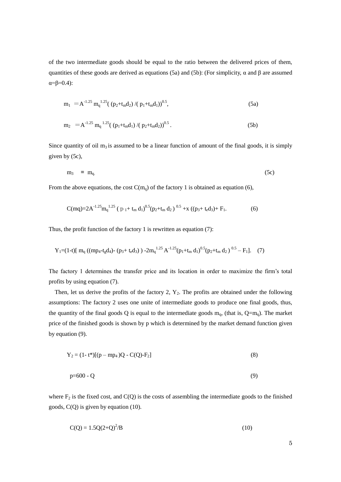of the two intermediate goods should be equal to the ratio between the delivered prices of them, quantities of these goods are derived as equations (5a) and (5b): (For simplicity,  $\alpha$  and  $\beta$  are assumed  $α=β=0.4$ ):

$$
m_1 = A^{-1.25} m_q^{1.25} ((p_2 + t_m d_2) / (p_1 + t_m d_1))^{0.5},
$$
\n(5a)

$$
m_2 = A^{-1.25} m_q^{-1.25} ( (p_1 + t_m d_1) / (p_2 + t_m d_2))^{0.5}.
$$
 (5b)

Since quantity of oil  $m_3$  is assumed to be a linear function of amount of the final goods, it is simply given by (5c),

$$
m_3 = m_q. \tag{5c}
$$

From the above equations, the cost  $C(m_q)$  of the factory 1 is obtained as equation (6),

$$
C(mq) = 2A^{-1.25}m_q^{1.25} (p_1 + t_m d_1)^{0.5} (p_2 + t_m d_2)^{0.5} + x ((p_3 + t_e d_3) + F_1.
$$
 (6)

Thus, the profit function of the factory 1 is rewritten as equation (7):

$$
Y_1 = (1-t)[m_q ((mp_4 + t_g d_4) - (p_3 + t_e d_3) - 2m_q^{1.25} A^{-1.25} (p_1 + t_m d_1)^{0.5} (p_2 + t_m d_2)^{0.5} - F_1].
$$
 (7)

The factory 1 determines the transfer price and its location in order to maximize the firm's total profits by using equation (7).

Then, let us derive the profits of the factory 2,  $Y_2$ . The profits are obtained under the following assumptions: The factory 2 uses one unite of intermediate goods to produce one final goods, thus, the quantity of the final goods Q is equal to the intermediate goods  $m_q$ , (that is,  $Q=m_q$ ). The market price of the finished goods is shown by p which is determined by the market demand function given by equation (9).

$$
Y_2 = (1 - t^*)[(p - mp_4)Q - C(Q) - F_2]
$$
\n(8)

$$
p=600 - Q \tag{9}
$$

where  $F_2$  is the fixed cost, and  $C(Q)$  is the costs of assembling the intermediate goods to the finished goods, C(Q) is given by equation (10).

$$
C(Q) = 1.5Q(2+Q)^2/B
$$
 (10)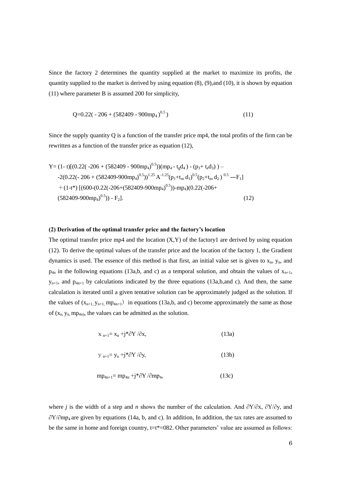Since the factory 2 determines the quantity supplied at the market to maximize its profits, the quantity supplied to the market is derived by using equation (8), (9),and (10), it is shown by equation (11) where parameter B is assumed 200 for simplicity,

$$
Q=0.22(-206 + (582409 - 900mp_4)^{0.5})
$$
\n(11)

Since the supply quantity Q is a function of the transfer price mp4, the total profits of the firm can be rewritten as a function of the transfer price as equation (12),

Y= (1- t)[(0.22( -206 + (582409 - 900mp4) 0.5))(mp4 - tgd4 ) - (p3+ ted3) ) – -2(0.22(- 206 + (582409-900mp4) 0.5))1.25 A -1.25(p1+t<sup>m</sup> d1) 0.5(p2+t<sup>m</sup> d2 ) 0.5 ―F1] +(1-t\*) [(600-(0.22(-206+(582409-900mp4) 0.5))-mp4)(0.22(-206+ (582409-900mp4) 0.5)) - F2]. (12)

#### **(2) Derivation of the optimal transfer price and the factory's location**

The optimal transfer price mp4 and the location  $(X, Y)$  of the factory1 are derived by using equation (12). To derive the optimal values of the transfer price and the location of the factory 1, the Gradient dynamics is used. The essence of this method is that first, an initial value set is given to  $x_n$ ,  $y_n$ , and  $p_{4n}$  in the following equations (13a,b, and c) as a temporal solution, and obtain the values of  $x_{n+1}$ ,  $y_{n+1}$ , and  $p_{4n+1}$  by calculations indicated by the three equations (13a,b,and c). And then, the same calculation is iterated until a given tentative solution can be approximately judged as the solution. If the values of  $(x_{n+1}, y_{n+1}, mp_{4n+1})$  in equations (13a,b, and c) become approximately the same as those of  $(x_n, y_n, mp_{4n})$ , the values can be admitted as the solution.

$$
x_{n+1} = x_n + j^* \partial Y / \partial x, \qquad (13a)
$$

$$
y_{n+1} = y_n + j^* \partial Y / \partial y,
$$
 (13b)

$$
mp_{4n+1} = mp_{4n} + j^* \partial Y / \partial mp_4, \qquad (13c)
$$

where *j* is the width of a step and *n* shows the number of the calculation. And ∂Y/∂x, ∂Y/∂y, and  $\partial$ Y/∂mp<sub>4</sub> are given by equations (14a, b, and c). In addition, In addition, the tax rates are assumed to be the same in home and foreign country,  $t=t^*=082$ . Other parameters' value are assumed as follows: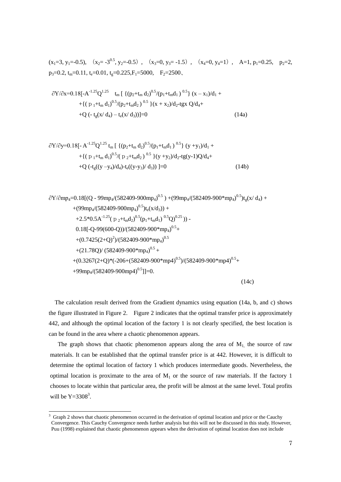$(x_1=3, y_1=-0.5)$ ,  $(x_2=-3^{0.5}, y_2=-0.5)$ ,  $(x_3=0, y_3=-1.5)$ ,  $(x_4=0, y_4=1)$ ,  $A=1, p_1=0.25, p_2=2,$  $p_3=0.2$ ,  $t_m=0.11$ ,  $t_e=0.01$ ,  $t_g=0.225$ ,  $F_1=5000$ ,  $F_2=2500$ ,

$$
\frac{\partial Y}{\partial x} = 0.18[-A^{-1.25}Q^{1.25} \t t_m [\{(p_2 + t_m d_2)^{0.5}/(p_1 + t_m d_1)^{0.5}\} (x - x_1)/d_1 + \frac{\{(p_1 + t_m d_1)^{0.5}/(p_2 + t_m d_2)^{0.5}\}(x + x_2)/d_2 - tgx Q/d_4 + \frac{\{Q - t_g(x/d_4) - t_e(x/d_3)\}]}{2}
$$
(14a)

$$
\frac{\partial Y}{\partial y} = 0.18[-A^{-1.25}Q^{1.25} t_m [ {(p_2 + t_m d_2)^{0.5}/(p_1 + t_m d_1)^{0.5}} (y + y_1)/d_1 +
$$
  
+ { (p\_1 + t\_m d\_1)^{0.5}/(p\_2 + t\_m d\_2)^{0.5}} (y + y\_2)/d\_2 - t\_g(y-1)Q/d\_4 +  
+ Q (-t\_g((y - y\_4)/d\_4) - t\_e((y - y\_3)/d\_3)) ]=0 \t(14b)

$$
\frac{\partial Y}{\partial mp_4} = 0.18[(Q - 99mp_4/(582409-900mp_4)^{0.5}) + (99mp_4/(582409-900*mp_4)^{0.5})t_g(x/d_4) + (99mp_4/(582409-900mp_4)^{0.5})t_e(x/d_3)) + (2.5*0.5A^{-1.25}(p_2+t_md_2)^{0.5}(p_1+t_md_1)^{0.5}Q)^{0.25})
$$
  
\n
$$
-0.18[-Q - 99(600-Q))/(582409-900*mp_4)^{0.5} + (0.7425(2+Q)^2)/(582409-900*mp_4)^{0.5} + (21.78Q)/(582409-900*mp_4)^{0.5} + (0.3267(2+Q)*(-206+(582409-900*mp_4)^{0.5})/(582409-900*mp_4)^{0.5} +
$$
  
\n+99mp\_4/(582409-900mp\_4)^{0.5}]]=0. (14c)

The calculation result derived from the Gradient dynamics using equation (14a, b, and c) shows the figure illustrated in Figure 2. Figure 2 indicates that the optimal transfer price is approximately 442, and although the optimal location of the factory 1 is not clearly specified, the best location is can be found in the area where a chaotic phenomenon appears.

The graph shows that chaotic phenomenon appears along the area of  $M<sub>1</sub>$ , the source of raw materials. It can be established that the optimal transfer price is at 442. However, it is difficult to determine the optimal location of factory 1 which produces intermediate goods. Nevertheless, the optimal location is proximate to the area of  $M_1$  or the source of raw materials. If the factory 1 chooses to locate within that particular area, the profit will be almost at the same level. Total profits will be  $Y=3308^3$ .

-

<sup>&</sup>lt;sup>3</sup> Graph 2 shows that chaotic phenomenon occurred in the derivation of optimal location and price or the Cauchy Convergence. This Cauchy Convergence needs further analysis but this will not be discussed in this study. However, Puu (1998) explained that chaotic phenomenon appears when the derivation of optimal location does not include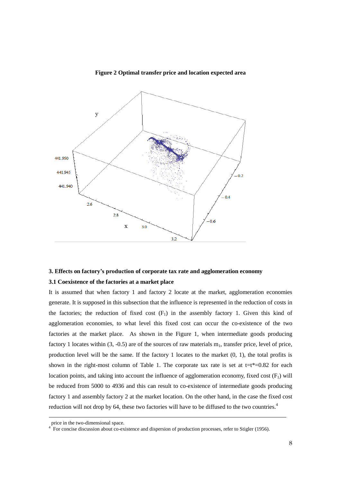



## **3. Effects on factory's production of corporate tax rate and agglomeration economy 3.1 Coexistence of the factories at a market place**

It is assumed that when factory 1 and factory 2 locate at the market, agglomeration economies generate. It is supposed in this subsection that the influence is represented in the reduction of costs in the factories; the reduction of fixed cost  $(F<sub>1</sub>)$  in the assembly factory 1. Given this kind of agglomeration economies, to what level this fixed cost can occur the co-existence of the two factories at the market place. As shown in the Figure 1, when intermediate goods producing factory 1 locates within  $(3, -0.5)$  are of the sources of raw materials  $m_1$ , transfer price, level of price, production level will be the same. If the factory 1 locates to the market (0, 1), the total profits is shown in the right-most column of Table 1. The corporate tax rate is set at  $t=t^*=0.82$  for each location points, and taking into account the influence of agglomeration economy, fixed cost  $(F<sub>1</sub>)$  will be reduced from 5000 to 4936 and this can result to co-existence of intermediate goods producing factory 1 and assembly factory 2 at the market location. On the other hand, in the case the fixed cost reduction will not drop by 64, these two factories will have to be diffused to the two countries.<sup>4</sup>

 $\overline{a}$ 

price in the two-dimensional space.

<sup>4</sup> For concise discussion about co-existence and dispersion of production processes, refer to Stigler (1956).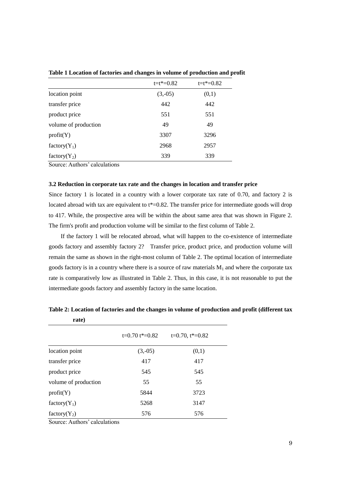|                      | $t=t^* = 0.82$ | $t=t^*=0.82$ |
|----------------------|----------------|--------------|
| location point       | $(3,-05)$      | (0,1)        |
| transfer price       | 442            | 442          |
| product price        | 551            | 551          |
| volume of production | 49             | 49           |
| profit(Y)            | 3307           | 3296         |
| factory $(Y_1)$      | 2968           | 2957         |
| factory $(Y_2)$      | 339            | 339          |

**Table 1 Location of factories and changes in volume of production and profit**

Source: Authors' calculations

### **3.2 Reduction in corporate tax rate and the changes in location and transfer price**

Since factory 1 is located in a country with a lower corporate tax rate of 0.70, and factory 2 is located abroad with tax are equivalent to t\*=0.82. The transfer price for intermediate goods will drop to 417. While, the prospective area will be within the about same area that was shown in Figure 2. The firm's profit and production volume will be similar to the first column of Table 2.

If the factory 1 will be relocated abroad, what will happen to the co-existence of intermediate goods factory and assembly factory 2? Transfer price, product price, and production volume will remain the same as shown in the right-most column of Table 2. The optimal location of intermediate goods factory is in a country where there is a source of raw materials  $M_1$  and where the corporate tax rate is comparatively low as illustrated in Table 2. Thus, in this case, it is not reasonable to put the intermediate goods factory and assembly factory in the same location.

|                      | $t=0.70$ t*=0.82 | $t=0.70$ , $t^*=0.82$ |
|----------------------|------------------|-----------------------|
| location point       | $(3,-05)$        | (0,1)                 |
| transfer price       | 417              | 417                   |
| product price        | 545              | 545                   |
| volume of production | 55               | 55                    |
| profit(Y)            | 5844             | 3723                  |
| factory $(Y_1)$      | 5268             | 3147                  |
| factory $(Y_2)$      | 576              | 576                   |

**Table 2: Location of factories and the changes in volume of production and profit (different tax rate)**

Source: Authors' calculations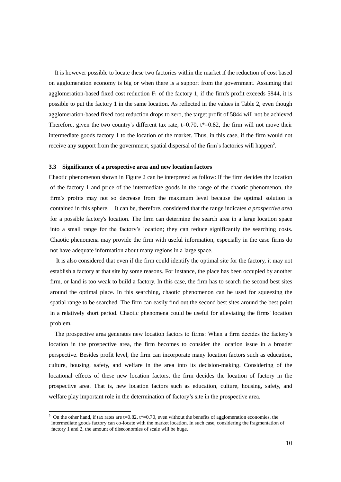It is however possible to locate these two factories within the market if the reduction of cost based on agglomeration economy is big or when there is a support from the government. Assuming that agglomeration-based fixed cost reduction  $F_1$  of the factory 1, if the firm's profit exceeds 5844, it is possible to put the factory 1 in the same location. As reflected in the values in Table 2, even though agglomeration-based fixed cost reduction drops to zero, the target profit of 5844 will not be achieved. Therefore, given the two country's different tax rate, t=0.70,  $t^*=0.82$ , the firm will not move their intermediate goods factory 1 to the location of the market. Thus, in this case, if the firm would not receive any support from the government, spatial dispersal of the firm's factories will happen<sup>5</sup>.

#### **3.3 Significance of a prospective area and new location factors**

Chaotic phenomenon shown in Figure 2 can be interpreted as follow: If the firm decides the location of the factory 1 and price of the intermediate goods in the range of the chaotic phenomenon, the firm's profits may not so decrease from the maximum level because the optimal solution is contained in this sphere. It can be, therefore, considered that the range indicates *a prospective area* for a possible factory's location. The firm can determine the search area in a large location space into a small range for the factory's location; they can reduce significantly the searching costs. Chaotic phenomena may provide the firm with useful information, especially in the case firms do not have adequate information about many regions in a large space.

It is also considered that even if the firm could identify the optimal site for the factory, it may not establish a factory at that site by some reasons. For instance, the place has been occupied by another firm, or land is too weak to build a factory. In this case, the firm has to search the second best sites around the optimal place. In this searching, chaotic phenomenon can be used for squeezing the spatial range to be searched. The firm can easily find out the second best sites around the best point in a relatively short period. Chaotic phenomena could be useful for alleviating the firms' location problem.

The prospective area generates new location factors to firms: When a firm decides the factory's location in the prospective area, the firm becomes to consider the location issue in a broader perspective. Besides profit level, the firm can incorporate many location factors such as education, culture, housing, safety, and welfare in the area into its decision-making. Considering of the locational effects of these new location factors, the firm decides the location of factory in the prospective area. That is, new location factors such as education, culture, housing, safety, and welfare play important role in the determination of factory's site in the prospective area.

-

 $5$  On the other hand, if tax rates are t=0.82, t\*=0.70, even without the benefits of agglomeration economies, the intermediate goods factory can co-locate with the market location. In such case, considering the fragmentation of factory 1 and 2, the amount of diseconomies of scale will be huge.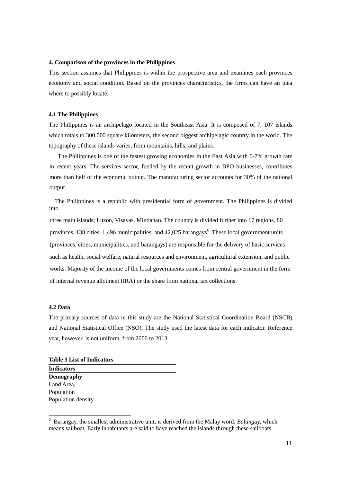#### **4. Comparison of the provinces in the Philippines**

This section assumes that Philippines is within the prospective area and examines each provinces economy and social condition. Based on the provinces characteristics, the firms can have an idea where to possibly locate.

#### **4.1 The Philippines**

The Philippines is an archipelago located in the Southeast Asia. It is composed of 7, 107 islands which totals to 300,000 square kilometers, the second biggest archipelagic country in the world. The topography of these islands varies, from mountains, hills, and plains.

The Philippines is one of the fastest growing economies in the East Asia with 6-7% growth rate in recent years. The services sector, fuelled by the recent growth in BPO businesses, contributes more than half of the economic output. The manufacturing sector accounts for 30% of the national output.

The Philippines is a republic with presidential form of government. The Philippines is divided into

three main islands; Luzon, Visayas, Mindanao. The country is divided further into 17 regions, 80 provinces, 138 cities, 1,496 municipalities, and  $42,025$  barangays<sup>6</sup>. These local government units (provinces, cities, municipalities, and barangays) are responsible for the delivery of basic services such as health, social welfare, natural resources and environment, agricultural extension, and public works. Majority of the income of the local governments comes from central government in the form of internal revenue allotment (IRA) or the share from national tax collections.

#### **4.2 Data**

The primary sources of data in this study are the National Statistical Coordination Board (NSCB) and National Statistical Office (NSO). The study used the latest data for each indicator. Reference year, however, is not uniform, from 2000 to 2013.

#### **Table 3 List of Indicators**

<sup>6</sup> <sup>6</sup> Barangay, the smallest administrative unit, is derived from the Malay word, *Balangay,* which means sailboat. Early inhabitants are said to have reached the islands through these sailboats.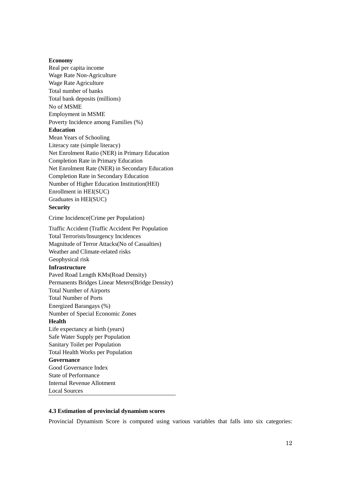#### **Economy**

Real per capita income Wage Rate Non-Agriculture Wage Rate Agriculture Total number of banks Total bank deposits (millions) No of MSME Employment in MSME Poverty Incidence among Families (%) **Education** Mean Years of Schooling Literacy rate (simple literacy) Net Enrolment Ratio (NER) in Primary Education Completion Rate in Primary Education Net Enrolment Rate (NER) in Secondary Education Completion Rate in Secondary Education Number of Higher Education Institution(HEI) Enrollment in HEI(SUC) Graduates in HEI(SUC) **Security**

Crime Incidence(Crime per Population)

Traffic Accident (Traffic Accident Per Population Total Terrorists/Insurgency Incidences Magnitude of Terror Attacks(No of Casualties) Weather and Climate-related risks Geophysical risk **Infrastructure** Paved Road Length KMs(Road Density) Permanents Bridges Linear Meters(Bridge Density) Total Number of Airports Total Number of Ports Energized Barangays (%) Number of Special Economic Zones **Health**  Life expectancy at birth (years) Safe Water Supply per Population Sanitary Toilet per Population Total Health Works per Population **Governance** Good Governance Index State of Performance Internal Revenue Allotment

Local Sources

#### **4.3 Estimation of provincial dynamism scores**

Provincial Dynamism Score is computed using various variables that falls into six categories: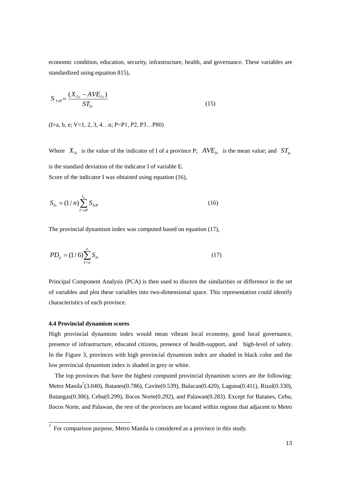economic condition, education, security, infrastructure, health, and governance. These variables are standardized using equation 815),

$$
S_{Iv} = \frac{(X_{Iv} - AVE_{Iv})}{ST_{Iv}}
$$
\n(15)

 $(I=a, b, e; V=1, 2, 3, 4...n; P=P1, P2, P3...P80)$ 

Where  $X_{I_V}$  is the value of the indicator of I of a province P;  $AVE_{I_V}$  is the mean value; and  $ST_{I_V}$ is the standard deviation of the indicator I of variable E. Score of the indicator I was obtained using equation (16),

$$
S_{Iv} = (1/n) \sum_{I=vP}^{I_n} S_{IvP}
$$
 (16)

The provincial dynamism index was computed based on equation (17),

$$
PD_p = (1/6) \sum_{I=a}^{e} S_{Iv} \tag{17}
$$

Principal Component Analysis (PCA) is then used to discern the similarities or difference in the set of variables and plot these variables into two-dimensional space. This representation could identify characteristics of each province.

#### **4.4 Provincial dynamism scores**

High provincial dynamism index would mean vibrant local economy, good local governance, presence of infrastructure, educated citizens, presence of health-support, and high-level of safety. In the Figure 3, provinces with high provincial dynamism index are shaded in black color and the low provincial dynamism index is shaded in grey or white.

The top provinces that have the highest computed provincial dynamism scores are the following: Metro Manila<sup>7</sup>(3.040), Batanes(0.786), Cavite(0.539), Bulacan(0.420), Laguna(0.411), Rizal(0.330), Batangas(0.306), Cebu(0.299), Ilocos Norte(0.292), and Palawan(0.283). Except for Batanes, Cebu, Ilocos Norte, and Palawan, the rest of the provinces are located within regions that adjacent to Metro

 $\overline{a}$  For comparison purpose, Metro Manila is considered as a province in this study.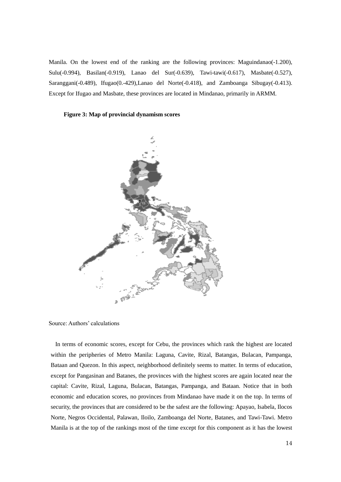Manila. On the lowest end of the ranking are the following provinces: Maguindanao(-1.200), Sulu(-0.994), Basilan(-0.919), Lanao del Sur(-0.639), Tawi-tawi(-0.617), Masbate(-0.527), Saranggani(-0.489), Ifugao(0.-429),Lanao del Norte(-0.418), and Zamboanga Sibugay(-0.413). Except for Ifugao and Masbate, these provinces are located in Mindanao, primarily in ARMM.

#### **Figure 3: Map of provincial dynamism scores**



Source: Authors' calculations

 In terms of economic scores, except for Cebu, the provinces which rank the highest are located within the peripheries of Metro Manila: Laguna, Cavite, Rizal, Batangas, Bulacan, Pampanga, Bataan and Quezon. In this aspect, neighborhood definitely seems to matter. In terms of education, except for Pangasinan and Batanes, the provinces with the highest scores are again located near the capital: Cavite, Rizal, Laguna, Bulacan, Batangas, Pampanga, and Bataan. Notice that in both economic and education scores, no provinces from Mindanao have made it on the top. In terms of security, the provinces that are considered to be the safest are the following: Apayao, Isabela, Ilocos Norte, Negros Occidental, Palawan, Iloilo, Zamboanga del Norte, Batanes, and Tawi-Tawi. Metro Manila is at the top of the rankings most of the time except for this component as it has the lowest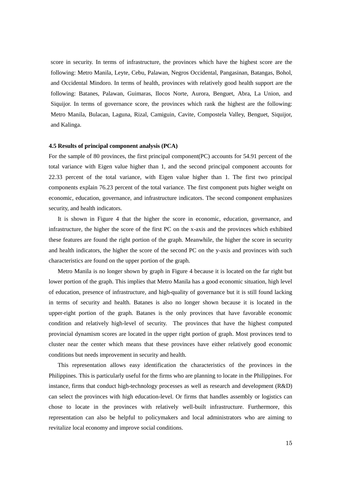score in security. In terms of infrastructure, the provinces which have the highest score are the following: Metro Manila, Leyte, Cebu, Palawan, Negros Occidental, Pangasinan, Batangas, Bohol, and Occidental Mindoro. In terms of health, provinces with relatively good health support are the following: Batanes, Palawan, Guimaras, Ilocos Norte, Aurora, Benguet, Abra, La Union, and Siquijor. In terms of governance score, the provinces which rank the highest are the following: Metro Manila, Bulacan, Laguna, Rizal, Camiguin, Cavite, Compostela Valley, Benguet, Siquijor, and Kalinga.

#### **4.5 Results of principal component analysis (PCA)**

For the sample of 80 provinces, the first principal component(PC) accounts for 54.91 percent of the total variance with Eigen value higher than 1, and the second principal component accounts for 22.33 percent of the total variance, with Eigen value higher than 1. The first two principal components explain 76.23 percent of the total variance. The first component puts higher weight on economic, education, governance, and infrastructure indicators. The second component emphasizes security, and health indicators.

It is shown in Figure 4 that the higher the score in economic, education, governance, and infrastructure, the higher the score of the first PC on the x-axis and the provinces which exhibited these features are found the right portion of the graph. Meanwhile, the higher the score in security and health indicators, the higher the score of the second PC on the y-axis and provinces with such characteristics are found on the upper portion of the graph.

Metro Manila is no longer shown by graph in Figure 4 because it is located on the far right but lower portion of the graph. This implies that Metro Manila has a good economic situation, high level of education, presence of infrastructure, and high-quality of governance but it is still found lacking in terms of security and health. Batanes is also no longer shown because it is located in the upper-right portion of the graph. Batanes is the only provinces that have favorable economic condition and relatively high-level of security. The provinces that have the highest computed provincial dynamism scores are located in the upper right portion of graph. Most provinces tend to cluster near the center which means that these provinces have either relatively good economic conditions but needs improvement in security and health.

This representation allows easy identification the characteristics of the provinces in the Philippines. This is particularly useful for the firms who are planning to locate in the Philippines. For instance, firms that conduct high-technology processes as well as research and development (R&D) can select the provinces with high education-level. Or firms that handles assembly or logistics can chose to locate in the provinces with relatively well-built infrastructure. Furthermore, this representation can also be helpful to policymakers and local administrators who are aiming to revitalize local economy and improve social conditions.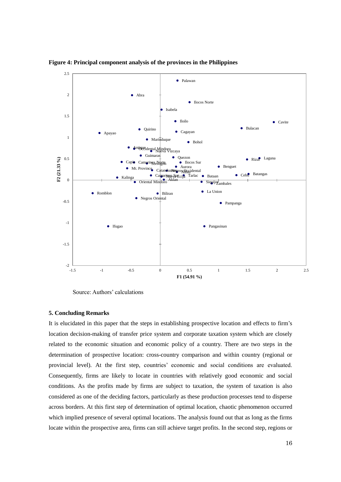

**Figure 4: Principal component analysis of the provinces in the Philippines**

Source: Authors' calculations

#### **5. Concluding Remarks**

It is elucidated in this paper that the steps in establishing prospective location and effects to firm's location decision-making of transfer price system and corporate taxation system which are closely related to the economic situation and economic policy of a country. There are two steps in the determination of prospective location: cross-country comparison and within country (regional or provincial level). At the first step, countries' economic and social conditions are evaluated. Consequently, firms are likely to locate in countries with relatively good economic and social conditions. As the profits made by firms are subject to taxation, the system of taxation is also considered as one of the deciding factors, particularly as these production processes tend to disperse across borders. At this first step of determination of optimal location, chaotic phenomenon occurred which implied presence of several optimal locations. The analysis found out that as long as the firms locate within the prospective area, firms can still achieve target profits. In the second step, regions or